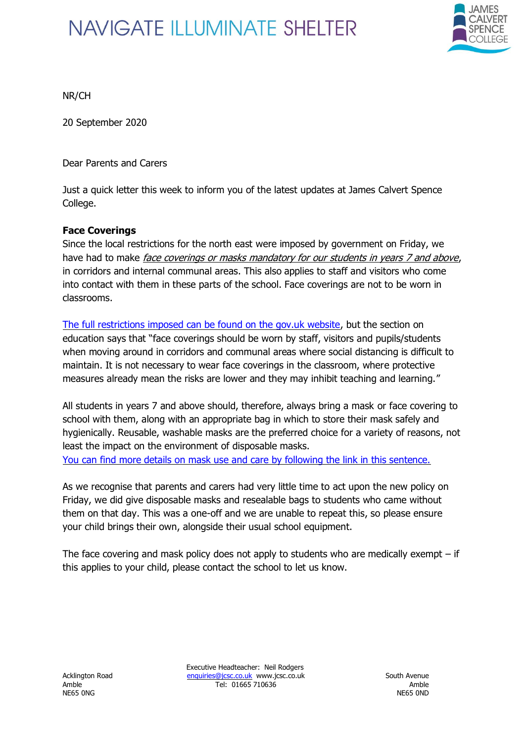

NR/CH

20 September 2020

Dear Parents and Carers

Just a quick letter this week to inform you of the latest updates at James Calvert Spence College.

#### **Face Coverings**

Since the local restrictions for the north east were imposed by government on Friday, we have had to make *face coverings or masks mandatory for our students in years 7 and above.* in corridors and internal communal areas. This also applies to staff and visitors who come into contact with them in these parts of the school. Face coverings are not to be worn in classrooms.

[The full restrictions imposed can be found on the gov.uk website,](https://www.gov.uk/guidance/north-east-of-england-local-restrictions) but the section on education says that "face coverings should be worn by staff, visitors and pupils/students when moving around in corridors and communal areas where social distancing is difficult to maintain. It is not necessary to wear face coverings in the classroom, where protective measures already mean the risks are lower and they may inhibit teaching and learning."

All students in years 7 and above should, therefore, always bring a mask or face covering to school with them, along with an appropriate bag in which to store their mask safely and hygienically. Reusable, washable masks are the preferred choice for a variety of reasons, not least the impact on the environment of disposable masks. [You can find more details on mask use and care by following the link in this sentence.](https://www.gov.uk/government/publications/face-coverings-when-to-wear-one-and-how-to-make-your-own/face-coverings-when-to-wear-one-and-how-to-make-your-own)

As we recognise that parents and carers had very little time to act upon the new policy on Friday, we did give disposable masks and resealable bags to students who came without them on that day. This was a one-off and we are unable to repeat this, so please ensure your child brings their own, alongside their usual school equipment.

The face covering and mask policy does not apply to students who are medically exempt  $-$  if this applies to your child, please contact the school to let us know.

Executive Headteacher: Neil Rodgers Acklington Road [enquiries@jcsc.co.uk](mailto:enquiries@jcsc.co.uk) www.jcsc.co.uk South Avenue Amble Tel: 01665 710636 Amble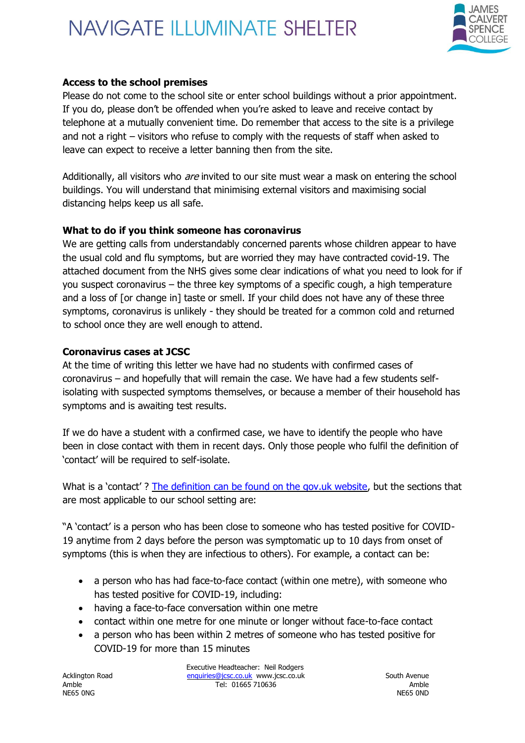

#### **Access to the school premises**

Please do not come to the school site or enter school buildings without a prior appointment. If you do, please don't be offended when you're asked to leave and receive contact by telephone at a mutually convenient time. Do remember that access to the site is a privilege and not a right – visitors who refuse to comply with the requests of staff when asked to leave can expect to receive a letter banning then from the site.

Additionally, all visitors who *are* invited to our site must wear a mask on entering the school buildings. You will understand that minimising external visitors and maximising social distancing helps keep us all safe.

#### **What to do if you think someone has coronavirus**

We are getting calls from understandably concerned parents whose children appear to have the usual cold and flu symptoms, but are worried they may have contracted covid-19. The attached document from the NHS gives some clear indications of what you need to look for if you suspect coronavirus – the three key symptoms of a specific cough, a high temperature and a loss of [or change in] taste or smell. If your child does not have any of these three symptoms, coronavirus is unlikely - they should be treated for a common cold and returned to school once they are well enough to attend.

#### **Coronavirus cases at JCSC**

At the time of writing this letter we have had no students with confirmed cases of coronavirus – and hopefully that will remain the case. We have had a few students selfisolating with suspected symptoms themselves, or because a member of their household has symptoms and is awaiting test results.

If we do have a student with a confirmed case, we have to identify the people who have been in close contact with them in recent days. Only those people who fulfil the definition of 'contact' will be required to self-isolate.

What is a 'contact'? [The definition can be found on the gov.uk website,](https://www.gov.uk/government/publications/guidance-for-contacts-of-people-with-possible-or-confirmed-coronavirus-covid-19-infection-who-do-not-live-with-the-person/guidance-for-contacts-of-people-with-possible-or-confirmed-coronavirus-covid-19-infection-who-do-not-live-with-the-person) but the sections that are most applicable to our school setting are:

"A 'contact' is a person who has been close to someone who has tested positive for COVID-19 anytime from 2 days before the person was symptomatic up to 10 days from onset of symptoms (this is when they are infectious to others). For example, a contact can be:

- a person who has had face-to-face contact (within one metre), with someone who has tested positive for COVID-19, including:
- having a face-to-face conversation within one metre
- contact within one metre for one minute or longer without face-to-face contact
- a person who has been within 2 metres of someone who has tested positive for COVID-19 for more than 15 minutes

NE65 0NG NE65 OND NE65 OND NE65 OND NE65 OND NE65 OND NE65 OND NE65 OND NE65 OND NE65 OND NE65 OND NE65 OND NE65

Executive Headteacher: Neil Rodgers Acklington Road [enquiries@jcsc.co.uk](mailto:enquiries@jcsc.co.uk) www.jcsc.co.uk South Avenue Amble Tel: 01665 710636 Amble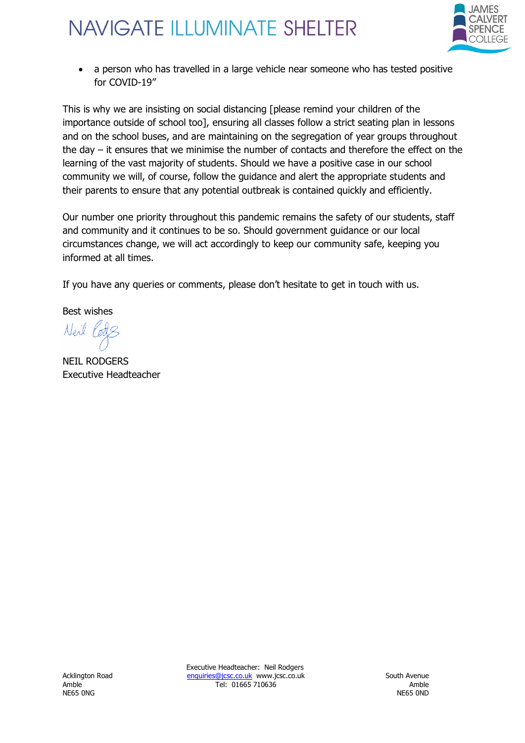

• a person who has travelled in a large vehicle near someone who has tested positive for COVID-19"

This is why we are insisting on social distancing [please remind your children of the importance outside of school too], ensuring all classes follow a strict seating plan in lessons and on the school buses, and are maintaining on the segregation of year groups throughout the day – it ensures that we minimise the number of contacts and therefore the effect on the learning of the vast majority of students. Should we have a positive case in our school community we will, of course, follow the guidance and alert the appropriate students and their parents to ensure that any potential outbreak is contained quickly and efficiently.

Our number one priority throughout this pandemic remains the safety of our students, staff and community and it continues to be so. Should government guidance or our local circumstances change, we will act accordingly to keep our community safe, keeping you informed at all times.

If you have any queries or comments, please don't hesitate to get in touch with us.

Best wishes

Neil Ports

NEIL RODGERS Executive Headteacher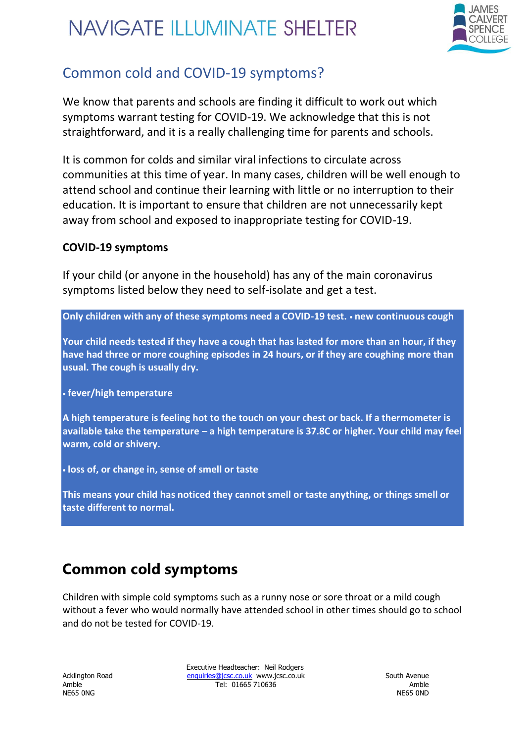

#### Common cold and COVID-19 symptoms?

We know that parents and schools are finding it difficult to work out which symptoms warrant testing for COVID-19. We acknowledge that this is not straightforward, and it is a really challenging time for parents and schools.

It is common for colds and similar viral infections to circulate across communities at this time of year. In many cases, children will be well enough to attend school and continue their learning with little or no interruption to their education. It is important to ensure that children are not unnecessarily kept away from school and exposed to inappropriate testing for COVID-19.

#### **COVID-19 symptoms**

If your child (or anyone in the household) has any of the main coronavirus symptoms listed below they need to self-isolate and get a test.

**Only children with any of these symptoms need a COVID-19 test.** • **new continuous cough** 

**Your child needs tested if they have a cough that has lasted for more than an hour, if they have had three or more coughing episodes in 24 hours, or if they are coughing more than usual. The cough is usually dry.** 

• **fever/high temperature** 

**A high temperature is feeling hot to the touch on your chest or back. If a thermometer is available take the temperature – a high temperature is 37.8C or higher. Your child may feel warm, cold or shivery.** 

• **loss of, or change in, sense of smell or taste** 

**This means your child has noticed they cannot smell or taste anything, or things smell or taste different to normal.** 

### **Common cold symptoms**

Children with simple cold symptoms such as a runny nose or sore throat or a mild cough without a fever who would normally have attended school in other times should go to school and do not be tested for COVID-19.

Executive Headteacher: Neil Rodgers Acklington Road **enquiries@jcsc.co.uk** www.jcsc.co.uk South Avenue Amble Tel: 01665 710636 Amble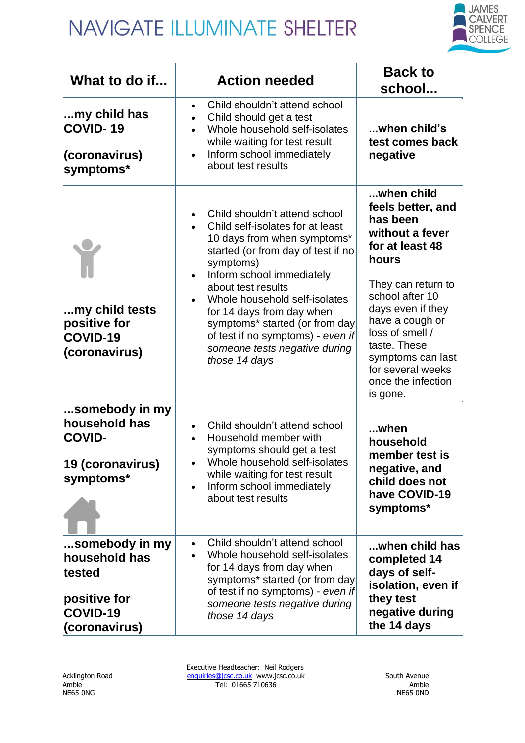

| What to do if                                                                          | <b>Action needed</b>                                                                                                                                                                                                                                                                                                                                                                          | <b>Back to</b><br>school                                                                                                                                                                                                                                                                   |
|----------------------------------------------------------------------------------------|-----------------------------------------------------------------------------------------------------------------------------------------------------------------------------------------------------------------------------------------------------------------------------------------------------------------------------------------------------------------------------------------------|--------------------------------------------------------------------------------------------------------------------------------------------------------------------------------------------------------------------------------------------------------------------------------------------|
| my child has<br><b>COVID-19</b><br>(coronavirus)<br>symptoms*                          | Child shouldn't attend school<br>Child should get a test<br>Whole household self-isolates<br>while waiting for test result<br>Inform school immediately<br>about test results                                                                                                                                                                                                                 | when child's<br>test comes back<br>negative                                                                                                                                                                                                                                                |
| my child tests<br>positive for<br>COVID-19<br>(coronavirus)                            | Child shouldn't attend school<br>Child self-isolates for at least<br>10 days from when symptoms*<br>started (or from day of test if no<br>symptoms)<br>Inform school immediately<br>about test results<br>Whole household self-isolates<br>for 14 days from day when<br>symptoms* started (or from day<br>of test if no symptoms) - even if<br>someone tests negative during<br>those 14 days | when child<br>feels better, and<br>has been<br>without a fever<br>for at least 48<br>hours<br>They can return to<br>school after 10<br>days even if they<br>have a cough or<br>loss of smell /<br>taste. These<br>symptoms can last<br>for several weeks<br>once the infection<br>is gone. |
| somebody in my<br>household has<br><b>COVID-</b><br>19 (coronavirus)<br>symptoms*      | Child shouldn't attend school<br>Household member with<br>symptoms should get a test<br>Whole household self-isolates<br>while waiting for test result<br>Inform school immediately<br>about test results                                                                                                                                                                                     | when<br>household<br>member test is<br>negative, and<br>child does not<br>have COVID-19<br>symptoms*                                                                                                                                                                                       |
| somebody in my<br>household has<br>tested<br>positive for<br>COVID-19<br>(coronavirus) | Child shouldn't attend school<br>Whole household self-isolates<br>for 14 days from day when<br>symptoms* started (or from day<br>of test if no symptoms) - even if<br>someone tests negative during<br>those 14 days                                                                                                                                                                          | when child has<br>completed 14<br>days of self-<br>isolation, even if<br>they test<br>negative during<br>the 14 days                                                                                                                                                                       |